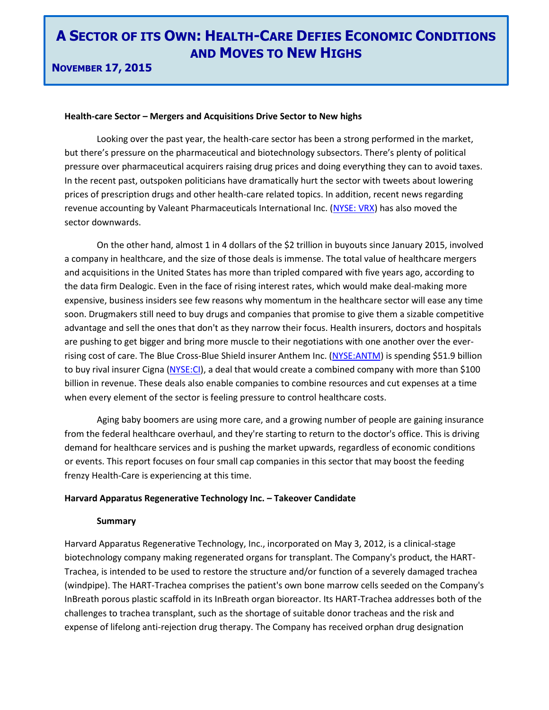**NOVEMBER 17, 2015**

### **Health-care Sector – Mergers and Acquisitions Drive Sector to New highs**

Looking over the past year, the health-care sector has been a strong performed in the market, but there's pressure on the pharmaceutical and biotechnology subsectors. There's plenty of political pressure over pharmaceutical acquirers raising drug prices and doing everything they can to avoid taxes. In the recent past, outspoken politicians have dramatically hurt the sector with tweets about lowering prices of prescription drugs and other health-care related topics. In addition, recent news regarding revenue accounting by Valeant Pharmaceuticals International Inc. [\(NYSE: VRX\)](http://www.google.ca/finance?q=NYSE%3AVRX&hl=en&gl=ca&ei=pX1KVtHuCsWs2AahioLoDw) has also moved the sector downwards.

On the other hand, almost 1 in 4 dollars of the \$2 trillion in buyouts since January 2015, involved a company in healthcare, and the size of those deals is immense. The total value of healthcare mergers and acquisitions in the United States has more than tripled compared with five years ago, according to the data firm Dealogic. Even in the face of rising interest rates, which would make deal-making more expensive, business insiders see few reasons why momentum in the healthcare sector will ease any time soon. Drugmakers still need to buy drugs and companies that promise to give them a sizable competitive advantage and sell the ones that don't as they narrow their focus. Health insurers, doctors and hospitals are pushing to get bigger and bring more muscle to their negotiations with one another over the everrising cost of care. The Blue Cross-Blue Shield insurer Anthem Inc. [\(NYSE:ANTM\)](http://www.google.ca/finance?q=NYSE%3AANTM&hl=en&gl=ca&ei=0n9KVsCyBMOX2Aad7YOQDQ) is spending \$51.9 billion to buy rival insurer Cigna [\(NYSE:CI\)](http://www.google.ca/finance?q=NYSE%3ACI&hl=en&gl=ca&ei=339KVuCGHcOX2Aad7YOQDQ), a deal that would create a combined company with more than \$100 billion in revenue. These deals also enable companies to combine resources and cut expenses at a time when every element of the sector is feeling pressure to control healthcare costs.

Aging baby boomers are using more care, and a growing number of people are gaining insurance from the federal healthcare overhaul, and they're starting to return to the doctor's office. This is driving demand for healthcare services and is pushing the market upwards, regardless of economic conditions or events. This report focuses on four small cap companies in this sector that may boost the feeding frenzy Health-Care is experiencing at this time.

### **Harvard Apparatus Regenerative Technology Inc. – Takeover Candidate**

### **Summary**

Harvard Apparatus Regenerative Technology, Inc., incorporated on May 3, 2012, is a clinical-stage biotechnology company making regenerated organs for transplant. The Company's product, the HART-Trachea, is intended to be used to restore the structure and/or function of a severely damaged trachea (windpipe). The HART-Trachea comprises the patient's own bone marrow cells seeded on the Company's InBreath porous plastic scaffold in its InBreath organ bioreactor. Its HART-Trachea addresses both of the challenges to trachea transplant, such as the shortage of suitable donor tracheas and the risk and expense of lifelong anti-rejection drug therapy. The Company has received orphan drug designation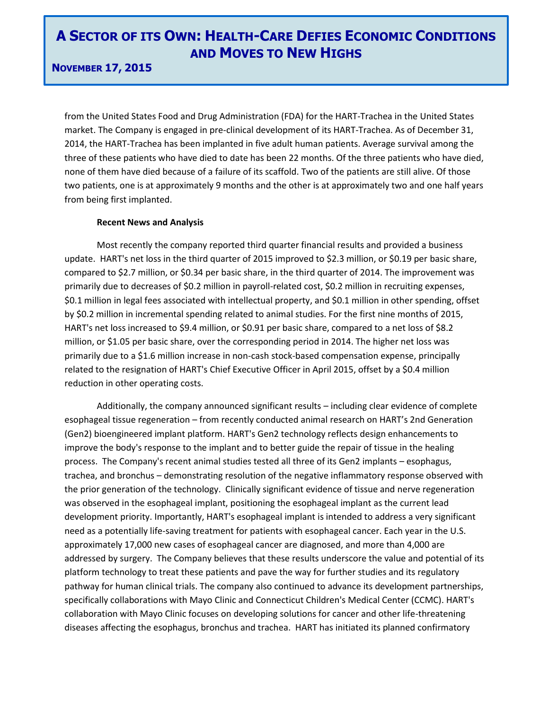### **NOVEMBER 17, 2015**

from the United States Food and Drug Administration (FDA) for the HART-Trachea in the United States market. The Company is engaged in pre-clinical development of its HART-Trachea. As of December 31, 2014, the HART-Trachea has been implanted in five adult human patients. Average survival among the three of these patients who have died to date has been 22 months. Of the three patients who have died, none of them have died because of a failure of its scaffold. Two of the patients are still alive. Of those two patients, one is at approximately 9 months and the other is at approximately two and one half years from being first implanted.

### **Recent News and Analysis**

Most recently the company reported third quarter financial results and provided a business update. HART's net loss in the third quarter of 2015 improved to \$2.3 million, or \$0.19 per basic share, compared to \$2.7 million, or \$0.34 per basic share, in the third quarter of 2014. The improvement was primarily due to decreases of \$0.2 million in payroll-related cost, \$0.2 million in recruiting expenses, \$0.1 million in legal fees associated with intellectual property, and \$0.1 million in other spending, offset by \$0.2 million in incremental spending related to animal studies. For the first nine months of 2015, HART's net loss increased to \$9.4 million, or \$0.91 per basic share, compared to a net loss of \$8.2 million, or \$1.05 per basic share, over the corresponding period in 2014. The higher net loss was primarily due to a \$1.6 million increase in non-cash stock-based compensation expense, principally related to the resignation of HART's Chief Executive Officer in April 2015, offset by a \$0.4 million reduction in other operating costs.

Additionally, the company announced significant results – including clear evidence of complete esophageal tissue regeneration – from recently conducted animal research on HART's 2nd Generation (Gen2) bioengineered implant platform. HART's Gen2 technology reflects design enhancements to improve the body's response to the implant and to better guide the repair of tissue in the healing process. The Company's recent animal studies tested all three of its Gen2 implants – esophagus, trachea, and bronchus – demonstrating resolution of the negative inflammatory response observed with the prior generation of the technology. Clinically significant evidence of tissue and nerve regeneration was observed in the esophageal implant, positioning the esophageal implant as the current lead development priority. Importantly, HART's esophageal implant is intended to address a very significant need as a potentially life-saving treatment for patients with esophageal cancer. Each year in the U.S. approximately 17,000 new cases of esophageal cancer are diagnosed, and more than 4,000 are addressed by surgery. The Company believes that these results underscore the value and potential of its platform technology to treat these patients and pave the way for further studies and its regulatory pathway for human clinical trials. The company also continued to advance its development partnerships, specifically collaborations with Mayo Clinic and Connecticut Children's Medical Center (CCMC). HART's collaboration with Mayo Clinic focuses on developing solutions for cancer and other life-threatening diseases affecting the esophagus, bronchus and trachea. HART has initiated its planned confirmatory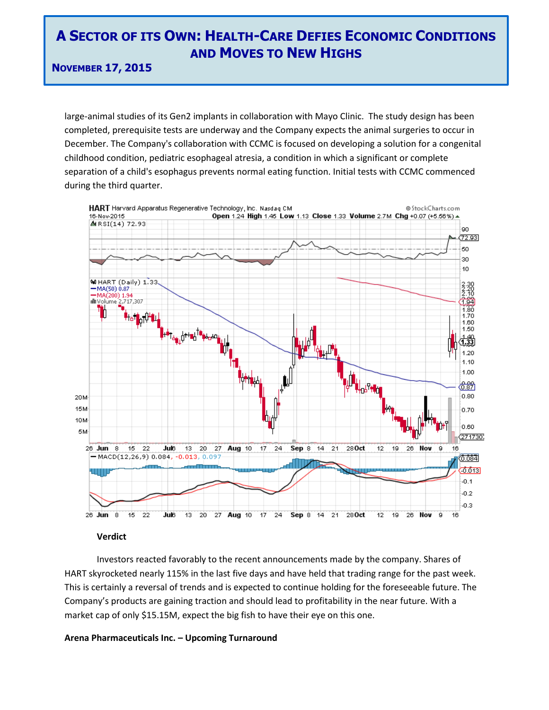**NOVEMBER 17, 2015**

large-animal studies of its Gen2 implants in collaboration with Mayo Clinic. The study design has been completed, prerequisite tests are underway and the Company expects the animal surgeries to occur in December. The Company's collaboration with CCMC is focused on developing a solution for a congenital childhood condition, pediatric esophageal atresia, a condition in which a significant or complete separation of a child's esophagus prevents normal eating function. Initial tests with CCMC commenced during the third quarter.



### **Verdict**

Investors reacted favorably to the recent announcements made by the company. Shares of HART skyrocketed nearly 115% in the last five days and have held that trading range for the past week. This is certainly a reversal of trends and is expected to continue holding for the foreseeable future. The Company's products are gaining traction and should lead to profitability in the near future. With a market cap of only \$15.15M, expect the big fish to have their eye on this one.

### **Arena Pharmaceuticals Inc. – Upcoming Turnaround**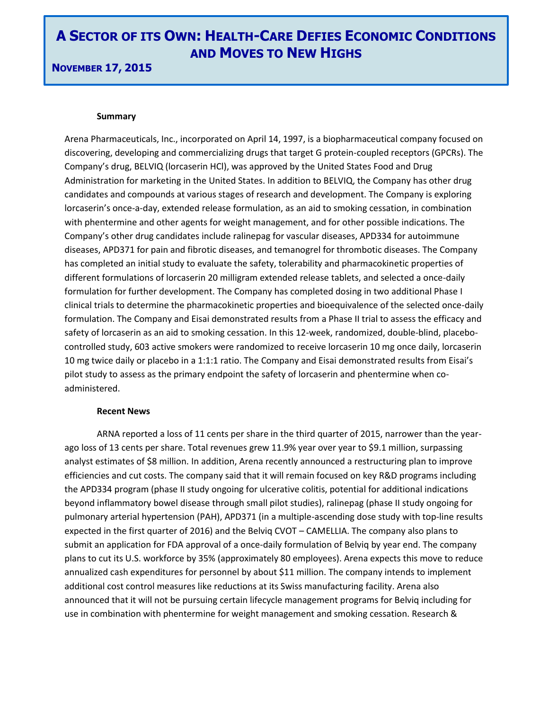### **NOVEMBER 17, 2015**

#### **Summary**

Arena Pharmaceuticals, Inc., incorporated on April 14, 1997, is a biopharmaceutical company focused on discovering, developing and commercializing drugs that target G protein-coupled receptors (GPCRs). The Company's drug, BELVIQ (lorcaserin HCl), was approved by the United States Food and Drug Administration for marketing in the United States. In addition to BELVIQ, the Company has other drug candidates and compounds at various stages of research and development. The Company is exploring lorcaserin's once-a-day, extended release formulation, as an aid to smoking cessation, in combination with phentermine and other agents for weight management, and for other possible indications. The Company's other drug candidates include ralinepag for vascular diseases, APD334 for autoimmune diseases, APD371 for pain and fibrotic diseases, and temanogrel for thrombotic diseases. The Company has completed an initial study to evaluate the safety, tolerability and pharmacokinetic properties of different formulations of lorcaserin 20 milligram extended release tablets, and selected a once-daily formulation for further development. The Company has completed dosing in two additional Phase I clinical trials to determine the pharmacokinetic properties and bioequivalence of the selected once-daily formulation. The Company and Eisai demonstrated results from a Phase II trial to assess the efficacy and safety of lorcaserin as an aid to smoking cessation. In this 12-week, randomized, double-blind, placebocontrolled study, 603 active smokers were randomized to receive lorcaserin 10 mg once daily, lorcaserin 10 mg twice daily or placebo in a 1:1:1 ratio. The Company and Eisai demonstrated results from Eisai's pilot study to assess as the primary endpoint the safety of lorcaserin and phentermine when coadministered.

#### **Recent News**

ARNA reported a loss of 11 cents per share in the third quarter of 2015, narrower than the yearago loss of 13 cents per share. Total revenues grew 11.9% year over year to \$9.1 million, surpassing analyst estimates of \$8 million. In addition, Arena recently announced a restructuring plan to improve efficiencies and cut costs. The company said that it will remain focused on key R&D programs including the APD334 program (phase II study ongoing for ulcerative colitis, potential for additional indications beyond inflammatory bowel disease through small pilot studies), ralinepag (phase II study ongoing for pulmonary arterial hypertension (PAH), APD371 (in a multiple-ascending dose study with top-line results expected in the first quarter of 2016) and the Belviq CVOT – CAMELLIA. The company also plans to submit an application for FDA approval of a once-daily formulation of Belviq by year end. The company plans to cut its U.S. workforce by 35% (approximately 80 employees). Arena expects this move to reduce annualized cash expenditures for personnel by about \$11 million. The company intends to implement additional cost control measures like reductions at its Swiss manufacturing facility. Arena also announced that it will not be pursuing certain lifecycle management programs for Belviq including for use in combination with phentermine for weight management and smoking cessation. Research &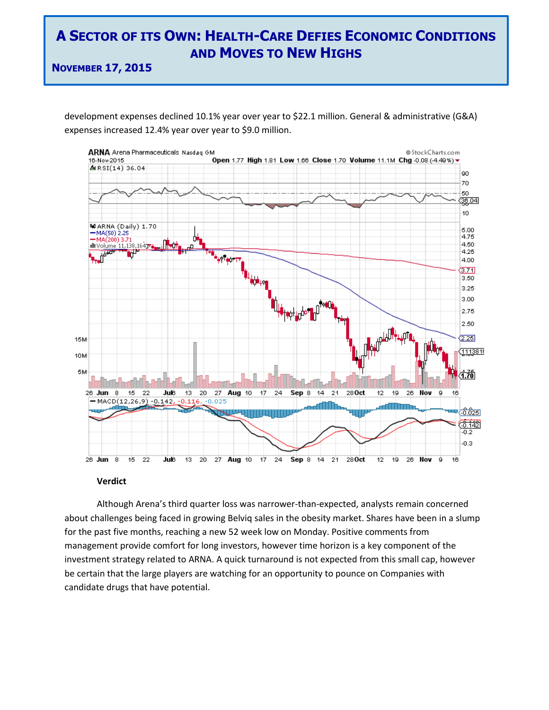**NOVEMBER 17, 2015**

development expenses declined 10.1% year over year to \$22.1 million. General & administrative (G&A) expenses increased 12.4% year over year to \$9.0 million.



#### **Verdict**

Although Arena's third quarter loss was narrower-than-expected, analysts remain concerned about challenges being faced in growing Belviq sales in the obesity market. Shares have been in a slump for the past five months, reaching a new 52 week low on Monday. Positive comments from management provide comfort for long investors, however time horizon is a key component of the investment strategy related to ARNA. A quick turnaround is not expected from this small cap, however be certain that the large players are watching for an opportunity to pounce on Companies with candidate drugs that have potential.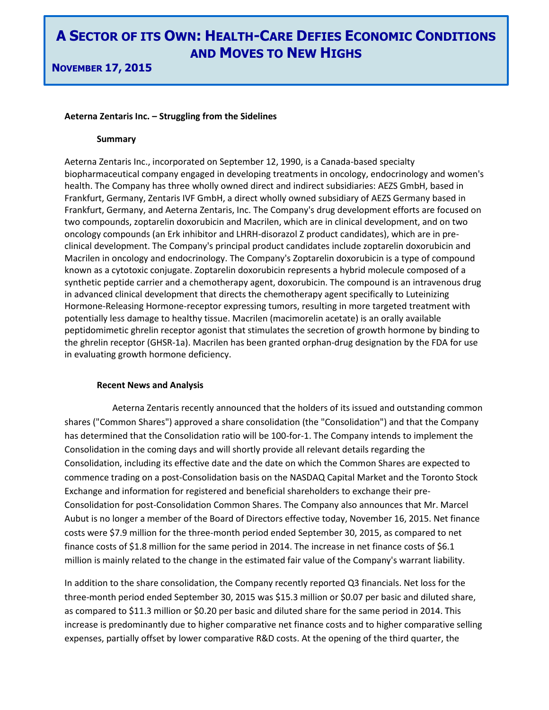#### **Aeterna Zentaris Inc. – Struggling from the Sidelines**

#### **Summary**

Aeterna Zentaris Inc., incorporated on September 12, 1990, is a Canada-based specialty biopharmaceutical company engaged in developing treatments in oncology, endocrinology and women's health. The Company has three wholly owned direct and indirect subsidiaries: AEZS GmbH, based in Frankfurt, Germany, Zentaris IVF GmbH, a direct wholly owned subsidiary of AEZS Germany based in Frankfurt, Germany, and Aeterna Zentaris, Inc. The Company's drug development efforts are focused on two compounds, zoptarelin doxorubicin and Macrilen, which are in clinical development, and on two oncology compounds (an Erk inhibitor and LHRH-disorazol Z product candidates), which are in preclinical development. The Company's principal product candidates include zoptarelin doxorubicin and Macrilen in oncology and endocrinology. The Company's Zoptarelin doxorubicin is a type of compound known as a cytotoxic conjugate. Zoptarelin doxorubicin represents a hybrid molecule composed of a synthetic peptide carrier and a chemotherapy agent, doxorubicin. The compound is an intravenous drug in advanced clinical development that directs the chemotherapy agent specifically to Luteinizing Hormone-Releasing Hormone-receptor expressing tumors, resulting in more targeted treatment with potentially less damage to healthy tissue. Macrilen (macimorelin acetate) is an orally available peptidomimetic ghrelin receptor agonist that stimulates the secretion of growth hormone by binding to the ghrelin receptor (GHSR-1a). Macrilen has been granted orphan-drug designation by the FDA for use in evaluating growth hormone deficiency.

### **Recent News and Analysis**

Aeterna Zentaris recently announced that the holders of its issued and outstanding common shares ("Common Shares") approved a share consolidation (the "Consolidation") and that the Company has determined that the Consolidation ratio will be 100-for-1. The Company intends to implement the Consolidation in the coming days and will shortly provide all relevant details regarding the Consolidation, including its effective date and the date on which the Common Shares are expected to commence trading on a post-Consolidation basis on the NASDAQ Capital Market and the Toronto Stock Exchange and information for registered and beneficial shareholders to exchange their pre-Consolidation for post-Consolidation Common Shares. The Company also announces that Mr. Marcel Aubut is no longer a member of the Board of Directors effective today, November 16, 2015. Net finance costs were \$7.9 million for the three-month period ended September 30, 2015, as compared to net finance costs of \$1.8 million for the same period in 2014. The increase in net finance costs of \$6.1 million is mainly related to the change in the estimated fair value of the Company's warrant liability.

In addition to the share consolidation, the Company recently reported Q3 financials. Net loss for the three-month period ended September 30, 2015 was \$15.3 million or \$0.07 per basic and diluted share, as compared to \$11.3 million or \$0.20 per basic and diluted share for the same period in 2014. This increase is predominantly due to higher comparative net finance costs and to higher comparative selling expenses, partially offset by lower comparative R&D costs. At the opening of the third quarter, the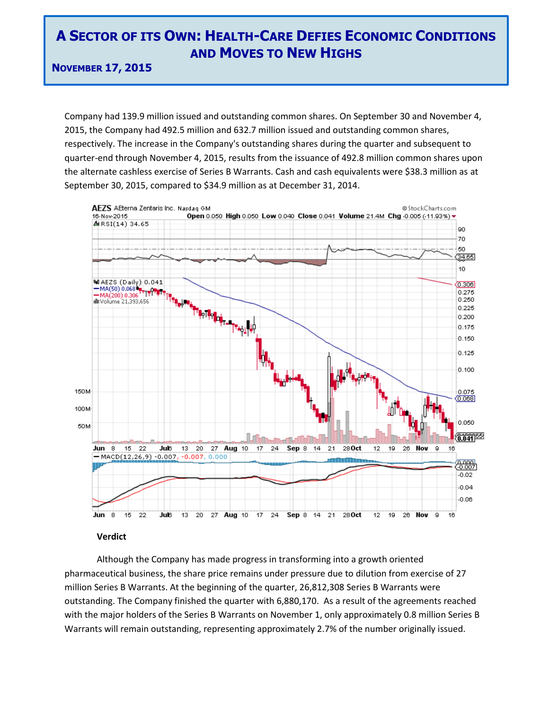**NOVEMBER 17, 2015**

Company had 139.9 million issued and outstanding common shares. On September 30 and November 4, 2015, the Company had 492.5 million and 632.7 million issued and outstanding common shares, respectively. The increase in the Company's outstanding shares during the quarter and subsequent to quarter-end through November 4, 2015, results from the issuance of 492.8 million common shares upon the alternate cashless exercise of Series B Warrants. Cash and cash equivalents were \$38.3 million as at September 30, 2015, compared to \$34.9 million as at December 31, 2014.



### **Verdict**

Although the Company has made progress in transforming into a growth oriented pharmaceutical business, the share price remains under pressure due to dilution from exercise of 27 million Series B Warrants. At the beginning of the quarter, 26,812,308 Series B Warrants were outstanding. The Company finished the quarter with 6,880,170. As a result of the agreements reached with the major holders of the Series B Warrants on November 1, only approximately 0.8 million Series B Warrants will remain outstanding, representing approximately 2.7% of the number originally issued.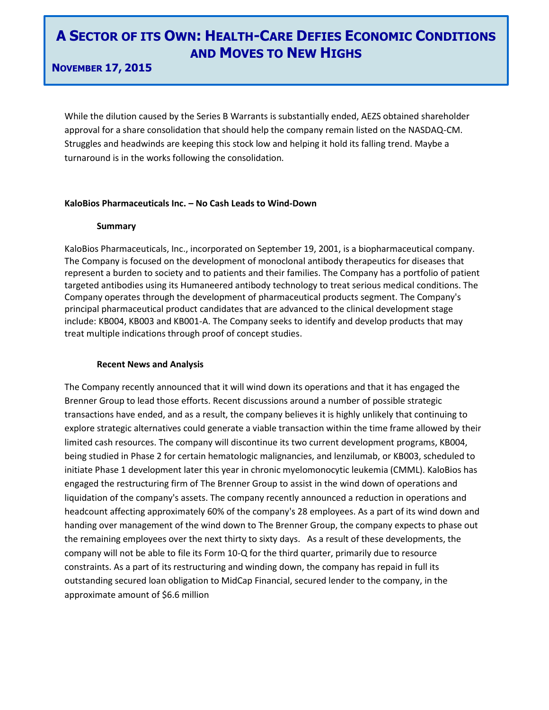### **NOVEMBER 17, 2015**

While the dilution caused by the Series B Warrants is substantially ended, AEZS obtained shareholder approval for a share consolidation that should help the company remain listed on the NASDAQ-CM. Struggles and headwinds are keeping this stock low and helping it hold its falling trend. Maybe a turnaround is in the works following the consolidation.

### **KaloBios Pharmaceuticals Inc. – No Cash Leads to Wind-Down**

### **Summary**

KaloBios Pharmaceuticals, Inc., incorporated on September 19, 2001, is a biopharmaceutical company. The Company is focused on the development of monoclonal antibody therapeutics for diseases that represent a burden to society and to patients and their families. The Company has a portfolio of patient targeted antibodies using its Humaneered antibody technology to treat serious medical conditions. The Company operates through the development of pharmaceutical products segment. The Company's principal pharmaceutical product candidates that are advanced to the clinical development stage include: KB004, KB003 and KB001-A. The Company seeks to identify and develop products that may treat multiple indications through proof of concept studies.

### **Recent News and Analysis**

The Company recently announced that it will wind down its operations and that it has engaged the Brenner Group to lead those efforts. Recent discussions around a number of possible strategic transactions have ended, and as a result, the company believes it is highly unlikely that continuing to explore strategic alternatives could generate a viable transaction within the time frame allowed by their limited cash resources. The company will discontinue its two current development programs, KB004, being studied in Phase 2 for certain hematologic malignancies, and lenzilumab, or KB003, scheduled to initiate Phase 1 development later this year in chronic myelomonocytic leukemia (CMML). KaloBios has engaged the restructuring firm of The Brenner Group to assist in the wind down of operations and liquidation of the company's assets. The company recently announced a reduction in operations and headcount affecting approximately 60% of the company's 28 employees. As a part of its wind down and handing over management of the wind down to The Brenner Group, the company expects to phase out the remaining employees over the next thirty to sixty days. As a result of these developments, the company will not be able to file its Form 10-Q for the third quarter, primarily due to resource constraints. As a part of its restructuring and winding down, the company has repaid in full its outstanding secured loan obligation to MidCap Financial, secured lender to the company, in the approximate amount of \$6.6 million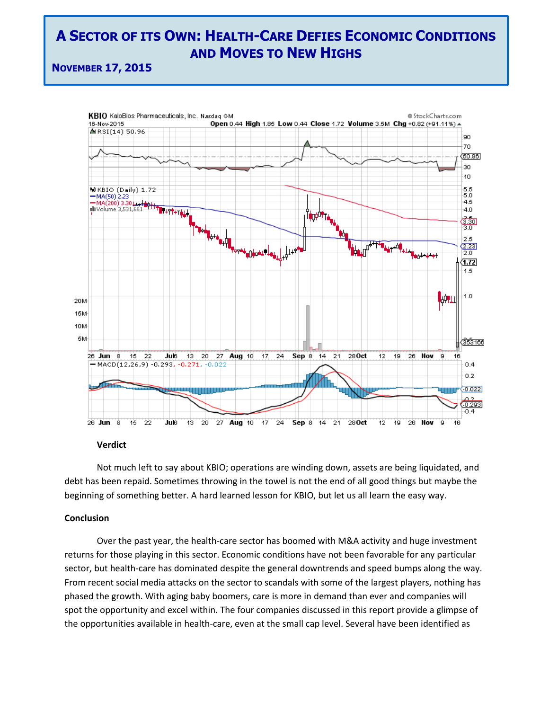**NOVEMBER 17, 2015**



### **Verdict**

Not much left to say about KBIO; operations are winding down, assets are being liquidated, and debt has been repaid. Sometimes throwing in the towel is not the end of all good things but maybe the beginning of something better. A hard learned lesson for KBIO, but let us all learn the easy way.

#### **Conclusion**

Over the past year, the health-care sector has boomed with M&A activity and huge investment returns for those playing in this sector. Economic conditions have not been favorable for any particular sector, but health-care has dominated despite the general downtrends and speed bumps along the way. From recent social media attacks on the sector to scandals with some of the largest players, nothing has phased the growth. With aging baby boomers, care is more in demand than ever and companies will spot the opportunity and excel within. The four companies discussed in this report provide a glimpse of the opportunities available in health-care, even at the small cap level. Several have been identified as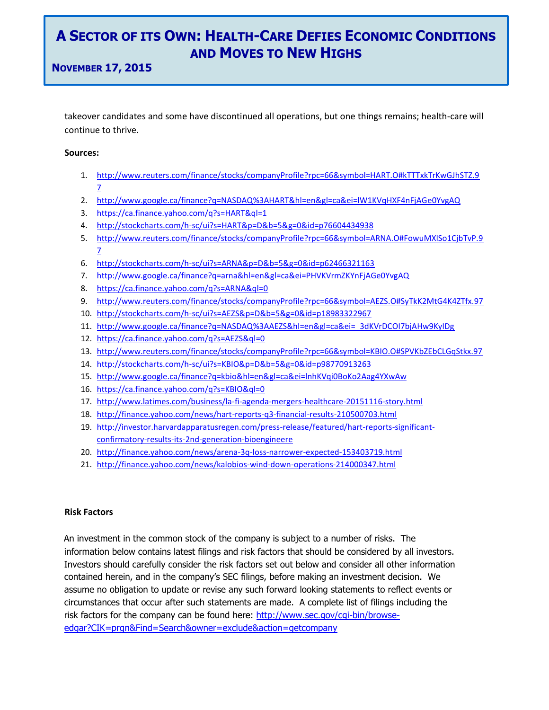**NOVEMBER 17, 2015**

takeover candidates and some have discontinued all operations, but one things remains; health-care will continue to thrive.

### **Sources:**

- 1. [http://www.reuters.com/finance/stocks/companyProfile?rpc=66&symbol=HART.O#kTTTxkTrKwGJhSTZ.9](http://www.reuters.com/finance/stocks/companyProfile?rpc=66&symbol=HART.O#kTTTxkTrKwGJhSTZ.97) [7](http://www.reuters.com/finance/stocks/companyProfile?rpc=66&symbol=HART.O#kTTTxkTrKwGJhSTZ.97)
- 2. <http://www.google.ca/finance?q=NASDAQ%3AHART&hl=en&gl=ca&ei=lW1KVqHXF4nFjAGe0YvgAQ>
- 3. <https://ca.finance.yahoo.com/q?s=HART&ql=1>
- 4. <http://stockcharts.com/h-sc/ui?s=HART&p=D&b=5&g=0&id=p76604434938>
- 5. [http://www.reuters.com/finance/stocks/companyProfile?rpc=66&symbol=ARNA.O#FowuMXlSo1CjbTvP.9](http://www.reuters.com/finance/stocks/companyProfile?rpc=66&symbol=ARNA.O#FowuMXlSo1CjbTvP.97) [7](http://www.reuters.com/finance/stocks/companyProfile?rpc=66&symbol=ARNA.O#FowuMXlSo1CjbTvP.97)
- 6. <http://stockcharts.com/h-sc/ui?s=ARNA&p=D&b=5&g=0&id=p62466321163>
- 7. <http://www.google.ca/finance?q=arna&hl=en&gl=ca&ei=PHVKVrmZKYnFjAGe0YvgAQ>
- 8. <https://ca.finance.yahoo.com/q?s=ARNA&ql=0>
- 9. <http://www.reuters.com/finance/stocks/companyProfile?rpc=66&symbol=AEZS.O#SyTkK2MtG4K4ZTfx.97>
- 10. <http://stockcharts.com/h-sc/ui?s=AEZS&p=D&b=5&g=0&id=p18983322967>
- 11. [http://www.google.ca/finance?q=NASDAQ%3AAEZS&hl=en&gl=ca&ei=\\_3dKVrDCOI7bjAHw9KyIDg](http://www.google.ca/finance?q=NASDAQ%3AAEZS&hl=en&gl=ca&ei=_3dKVrDCOI7bjAHw9KyIDg)
- 12. <https://ca.finance.yahoo.com/q?s=AEZS&ql=0>
- 13. <http://www.reuters.com/finance/stocks/companyProfile?rpc=66&symbol=KBIO.O#SPVKbZEbCLGqStkx.97>
- 14. <http://stockcharts.com/h-sc/ui?s=KBIO&p=D&b=5&g=0&id=p98770913263>
- 15. <http://www.google.ca/finance?q=kbio&hl=en&gl=ca&ei=lnhKVqi0BoKo2Aag4YXwAw>
- 16. <https://ca.finance.yahoo.com/q?s=KBIO&ql=0>
- 17. <http://www.latimes.com/business/la-fi-agenda-mergers-healthcare-20151116-story.html>
- 18. <http://finance.yahoo.com/news/hart-reports-q3-financial-results-210500703.html>
- 19. [http://investor.harvardapparatusregen.com/press-release/featured/hart-reports-significant](http://investor.harvardapparatusregen.com/press-release/featured/hart-reports-significant-confirmatory-results-its-2nd-generation-bioengineere)[confirmatory-results-its-2nd-generation-bioengineere](http://investor.harvardapparatusregen.com/press-release/featured/hart-reports-significant-confirmatory-results-its-2nd-generation-bioengineere)
- 20. <http://finance.yahoo.com/news/arena-3q-loss-narrower-expected-153403719.html>
- 21. <http://finance.yahoo.com/news/kalobios-wind-down-operations-214000347.html>

### **Risk Factors**

An investment in the common stock of the company is subject to a number of risks. The information below contains latest filings and risk factors that should be considered by all investors. Investors should carefully consider the risk factors set out below and consider all other information contained herein, and in the company's SEC filings, before making an investment decision. We assume no obligation to update or revise any such forward looking statements to reflect events or circumstances that occur after such statements are made. A complete list of filings including the risk factors for the company can be found here: http://www.sec.gov/cqi-bin/browse[edgar?CIK=prgn&Find=Search&owner=exclude&action=getcompany](http://www.sec.gov/cgi-bin/browse-edgar?CIK=prgn&Find=Search&owner=exclude&action=getcompany)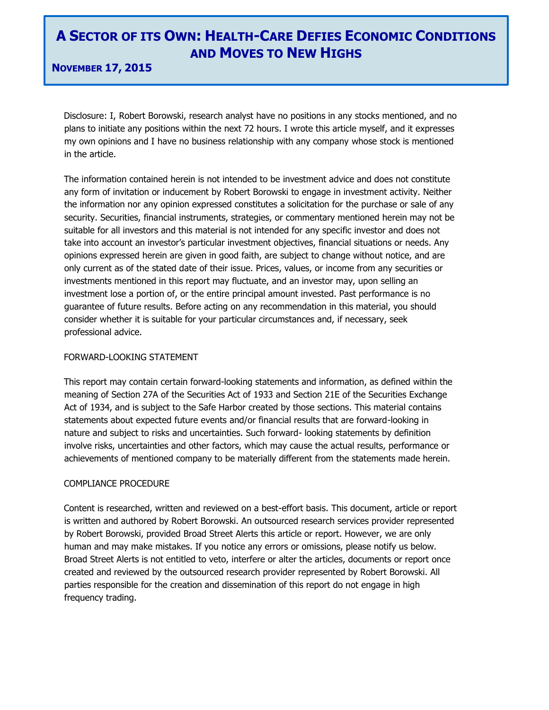**NOVEMBER 17, 2015**

Disclosure: I, Robert Borowski, research analyst have no positions in any stocks mentioned, and no plans to initiate any positions within the next 72 hours. I wrote this article myself, and it expresses my own opinions and I have no business relationship with any company whose stock is mentioned in the article.

The information contained herein is not intended to be investment advice and does not constitute any form of invitation or inducement by Robert Borowski to engage in investment activity. Neither the information nor any opinion expressed constitutes a solicitation for the purchase or sale of any security. Securities, financial instruments, strategies, or commentary mentioned herein may not be suitable for all investors and this material is not intended for any specific investor and does not take into account an investor's particular investment objectives, financial situations or needs. Any opinions expressed herein are given in good faith, are subject to change without notice, and are only current as of the stated date of their issue. Prices, values, or income from any securities or investments mentioned in this report may fluctuate, and an investor may, upon selling an investment lose a portion of, or the entire principal amount invested. Past performance is no guarantee of future results. Before acting on any recommendation in this material, you should consider whether it is suitable for your particular circumstances and, if necessary, seek professional advice.

### FORWARD-LOOKING STATEMENT

This report may contain certain forward-looking statements and information, as defined within the meaning of Section 27A of the Securities Act of 1933 and Section 21E of the Securities Exchange Act of 1934, and is subject to the Safe Harbor created by those sections. This material contains statements about expected future events and/or financial results that are forward-looking in nature and subject to risks and uncertainties. Such forward- looking statements by definition involve risks, uncertainties and other factors, which may cause the actual results, performance or achievements of mentioned company to be materially different from the statements made herein.

### COMPLIANCE PROCEDURE

Content is researched, written and reviewed on a best-effort basis. This document, article or report is written and authored by Robert Borowski. An outsourced research services provider represented by Robert Borowski, provided Broad Street Alerts this article or report. However, we are only human and may make mistakes. If you notice any errors or omissions, please notify us below. Broad Street Alerts is not entitled to veto, interfere or alter the articles, documents or report once created and reviewed by the outsourced research provider represented by Robert Borowski. All parties responsible for the creation and dissemination of this report do not engage in high frequency trading.